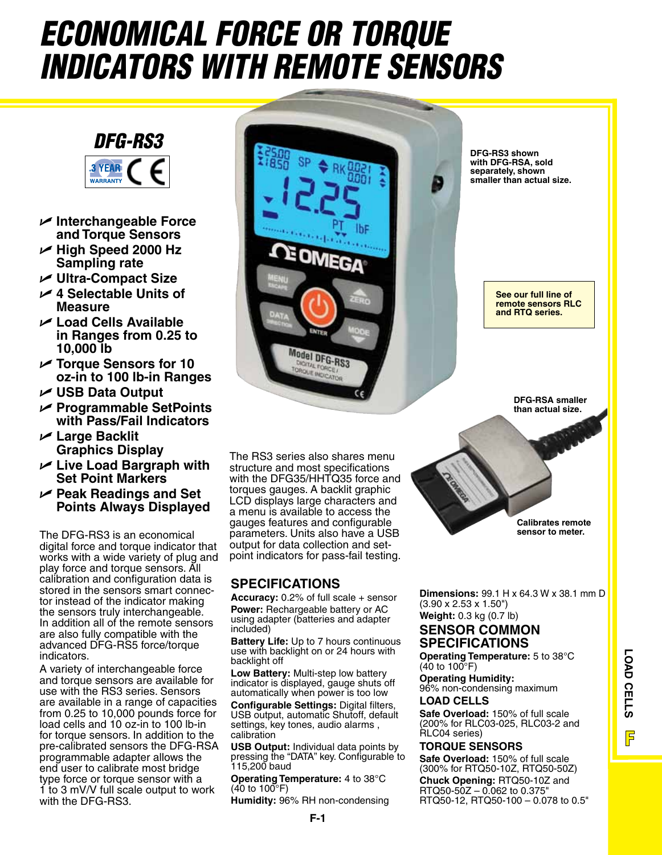# *ECONOMICAL FORCE OR TORQUE INDICATORS WITH REMOTE SENSORS*

## *DFG-RS3*



- U **Interchangeable Force and Torque Sensors**
- U **High Speed 2000 Hz Sampling rate**
- U **Ultra-Compact Size**
- U **4 Selectable Units of Measure**
- U **Load Cells Available in Ranges from 0.25 to 10,000 lb**
- U **Torque Sensors for 10 oz-in to 100 lb-in Ranges**
- U **USB Data Output**
- U **Programmable SetPoints with Pass/Fail Indicators**
- U **Large Backlit Graphics Display**
- U **Live Load Bargraph with Set Point Markers**
- U **Peak Readings and Set Points Always Displayed**

The DFG-RS3 is an economical digital force and torque indicator that works with a wide variety of plug and play force and torque sensors. All calibration and configuration data is stored in the sensors smart connector instead of the indicator making the sensors truly interchangeable. In addition all of the remote sensors are also fully compatible with the advanced DFG-RS5 force/torque indicators.

A variety of interchangeable force and torque sensors are available for use with the RS3 series. Sensors are available in a range of capacities from 0.25 to 10,000 pounds force for load cells and 10 oz-in to 100 lb-in for torque sensors. In addition to the pre-calibrated sensors the DFG-RSA programmable adapter allows the end user to calibrate most bridge type force or torque sensor with a 1 to 3 mV/V full scale output to work with the DFG-RS3.

The RS3 series also shares menu structure and most specifications with the DFG35/HHTQ35 force and torques gauges. A backlit graphic LCD displays large characters and a menu is available to access the gauges features and configurable parameters. Units also have a USB<br>output for data collection and setpoint indicators for pass-fail testing.

EOM

Model DFG-RS3 **GITAL FORCE** QUE INDICATO

### **SPECIFICATIONS**

**Accuracy:** 0.2% of full scale + sensor **Power:** Rechargeable battery or AC using adapter (batteries and adapter included)

**Battery Life:** Up to 7 hours continuous use with backlight on or 24 hours with backlight off

**Low Battery:** Multi-step low battery indicator is displayed, gauge shuts off automatically when power is too low

**Configurable Settings:** Digital filters, USB output, automatic Shutoff, default settings, key tones, audio alarms , calibration

**USB Output:** Individual data points by pressing the "DATA" key. Configurable to 115,200 baud

**Operating Temperature:** 4 to 38°C (40 to 100°F)

**Humidity:** 96% RH non-condensing

**DFG-RS3 shown with DFG-RSA, sold separately, shown smaller than actual size.**

> **See our full line of remote sensors RLC and RTQ series.**

> > **DFG-RSA smaller than actual size.**

**Calibrates remote sensor to meter.**

**LOAD CELLS**

LOAD CELLS

F

**Dimensions:** 99.1 H x 64.3 W x 38.1 mm D (3.90 x 2.53 x 1.50")

**Weight:** 0.3 kg (0.7 lb)

## **SENSOR COMMON SPECIFICATIONS**

**Operating Temperature:** 5 to 38°C  $(40 \text{ to } 100^{\circ} \text{F})$ 

**Operating Humidity:** 96% non-condensing maximum

#### **LOAD CELLS**

**Safe Overload:** 150% of full scale (200% for RLC03-025, RLC03-2 and RLC04 series)

#### **TORQUE SENSORS**

**Safe Overload:** 150% of full scale (300% for RTQ50-10Z, RTQ50-50Z) **Chuck Opening:** RTQ50-10Z and RTQ50-50Z – 0.062 to 0.375" RTQ50-12, RTQ50-100 – 0.078 to 0.5"